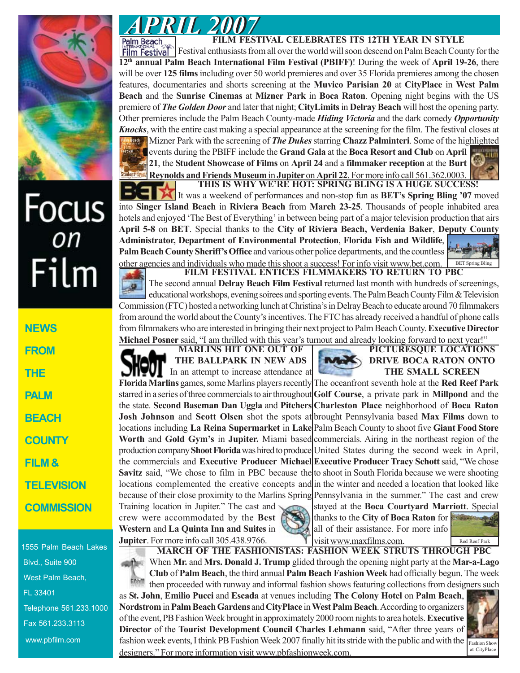

## Focus<br><sub>on</sub>  $Flim$

| <b>NEWS</b>       |
|-------------------|
| FROM              |
| THE               |
| PALM              |
| BEACH             |
| <b>COUNTY</b>     |
| FILM &            |
| <b>TELEVISION</b> |
| <b>COMMISSION</b> |
|                   |

1555 Palm Beach Lakes Blvd., Suite 900 West Palm Beach, FL 33401 Telephone 561.233.1000 Fax 561.233.3113 www.pbfilm.com

*APRIL 20*<br>Palm Beach **FILM FESTIVAL CELEBRATES ITS 12TH YEAR IN STYLE**

Film Festival enthusiasts from all over the world will soon descend on Palm Beach County for the **12th annual Palm Beach International Film Festival (PBIFF)**! During the week of **April 19-26**, there will be over 125 films including over 50 world premieres and over 35 Florida premieres among the chosen features, documentaries and shorts screening at the **Muvico Parisian 20** at **CityPlace** in **West Palm Beach** and the **Sunrise Cinemas** at **Mizner Park** in **Boca Raton**. Opening night begins with the US premiere of *The Golden Door* and later that night; **CityLimits** in **Delray Beach** will host the opening party. Other premieres include the Palm Beach County-made *Hiding Victoria* and the dark comedy *Opportunity Knocks*, with the entire cast making a special appearance at the screening for the film. The festival closes at **Mizner Park with the screening of** *The Dukes* **starring Chazz Palminteri**. Some of the highlighted events during the PBIFF include the **Grand Gala** at the **Boca Resort and Club** on **April**

**21**, the **Student Showcase of Films** on **April 24** and a **filmmaker reception** at the **Burt Reynolds and Friends Museum** in **Jupiter** on **April 22**. For more info call 561.362.0003. **THIS IS WHY WE'RE HOT: SPRING BLING IS A HUGE SUCCESS!**

BET Spring Bling It was a weekend of performances and non-stop fun as **BET's Spring Bling '07** moved into **Singer Island Beach** in **Riviera Beach** from **March 23-25**. Thousands of people inhabited area hotels and enjoyed 'The Best of Everything' in between being part of a major television production that airs **April 5-8** on **BET**. Special thanks to the **City of Riviera Beach, Verdenia Baker**, **Deputy County Administrator, Department of Environmental Protection**, **Florida Fish and Wildlife**, **Palm Beach County Sheriff's Office** and various other police departments, and the countless other agencies and individuals who made this shoot a success! For info visit www.bet.com.

**FILM FESTIVAL ENTICES FILMMAKERS TO RETURN TO PBC** The second annual **Delray Beach Film Festival** returned last month with hundreds of screenings, educational workshops, evening soirees and sporting events. The Palm Beach County Film & Television Commission (FTC) hosted a networking lunch at Christina's in Delray Beach to educate around 70 filmmakers from around the world about the County's incentives. The FTC has already received a handful of phone calls from filmmakers who are interested in bringing their next project to Palm Beach County. **Executive Director Michael Posner** said, "I am thrilled with this year's turnout and already looking forward to next year!" **PICTURESQUE LOCATIONS**

**MARLINS HIT ONE OUT OF THE BALLPARK IN NEW ADS** In an attempt to increase attendance at

Florida Marlins games, some Marlins players recently The oceanfront seventh hole at the Red Reef Park starred in a series of three commercials to air throughout Golf Course, a private park in Millpond and the **Charleston Place** neighborhood of **Boca Raton** the state. **Second Baseman Dan Uggla** and **Pitchers Josh Johnson** and Scott Olsen shot the spots at brought Pennsylvania based Max Films down to locations including La Reina Supermarket in Lake Palm Beach County to shoot five Giant Food Store Worth and Gold Gym's in Jupiter. Miami based commercials. Airing in the northeast region of the production company **Shoot Florida** was hired to produce United States during the second week in April, **Executive Producer Tracy Schott** said, "We chose the commercials and **Executive Producer Michael Savitz** said, "We chose to film in PBC because the to shoot in South Florida because we were shooting locations complemented the creative concepts and in the winter and needed a location that looked like because of their close proximity to the Marlins Spring Pennsylvania in the summer." The cast and crew stayed at the **Boca Courtyard Marriott**. Special Training location in Jupiter." The cast and

crew were accommodated by the **Best Western** and **La Quinta Inn and Suites** in **Jupiter**. For more info call 305.438.9766.



thanks to the **City of Boca Raton** for all of their assistance. For more info visit www.maxfilms.com.

**DRIVE BOCA RATON ONTO THE SMALL SCREEN**



**MARCH OF THE FASHIONISTAS: FASHION WEEK STRUTS THROUGH PBC** When **Mr.** and **Mrs. Donald J. Trump** glided through the opening night party at the **Mar-a-Lago Club** of **Palm Beach**, the third annual **Palm Beach Fashion Week** had officially begun. The week then proceeded with runway and informal fashion shows featuring collections from designers such

as **St. John**, **Emilio Pucci** and **Escada** at venues including **The Colony Hotel** on **Palm Beach**, **Nordstrom** in **Palm Beach Gardens** and **CityPlace** in **West Palm Beach**. According to organizers of the event, PB Fashion Week brought in approximately 2000 room nights to area hotels. **Executive Director** of the **Tourist Development Council Charles Lehmann** said, "After three years of fashion week events, I think PB Fashion Week 2007 finally hit its stride with the public and with the designers." For more information visit www.pbfashionweek.com.